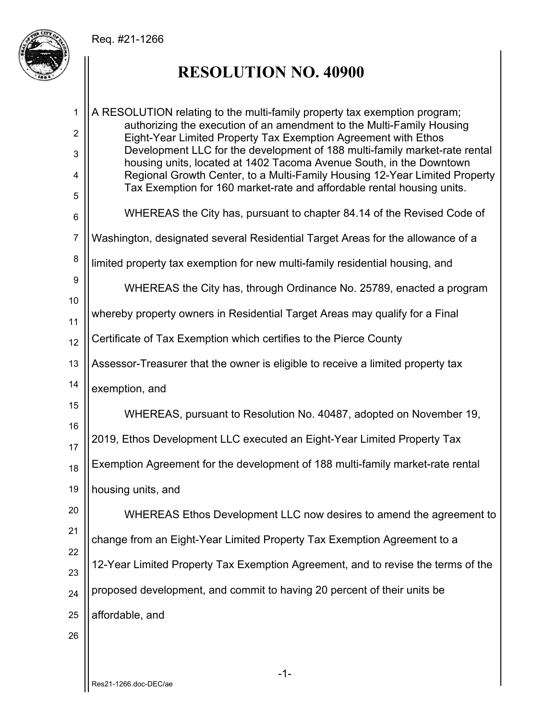## Req. #21-1266



## **RESOLUTION NO. 40900**

1 2 3 4 5 6 7 8 9 10 11 12 13 14 15 16 17 18 19 20 21 22 23 24 25 26 A RESOLUTION relating to the multi-family property tax exemption program; authorizing the execution of an amendment to the Multi-Family Housing Eight-Year Limited Property Tax Exemption Agreement with Ethos Development LLC for the development of 188 multi-family market-rate rental housing units, located at 1402 Tacoma Avenue South, in the Downtown Regional Growth Center, to a Multi-Family Housing 12-Year Limited Property Tax Exemption for 160 market-rate and affordable rental housing units. WHEREAS the City has, pursuant to chapter 84.14 of the Revised Code of Washington, designated several Residential Target Areas for the allowance of a limited property tax exemption for new multi-family residential housing, and WHEREAS the City has, through Ordinance No. 25789, enacted a program whereby property owners in Residential Target Areas may qualify for a Final Certificate of Tax Exemption which certifies to the Pierce County Assessor-Treasurer that the owner is eligible to receive a limited property tax exemption, and WHEREAS, pursuant to Resolution No. 40487, adopted on November 19, 2019, Ethos Development LLC executed an Eight-Year Limited Property Tax Exemption Agreement for the development of 188 multi-family market-rate rental housing units, and WHEREAS Ethos Development LLC now desires to amend the agreement to change from an Eight-Year Limited Property Tax Exemption Agreement to a 12-Year Limited Property Tax Exemption Agreement, and to revise the terms of the proposed development, and commit to having 20 percent of their units be affordable, and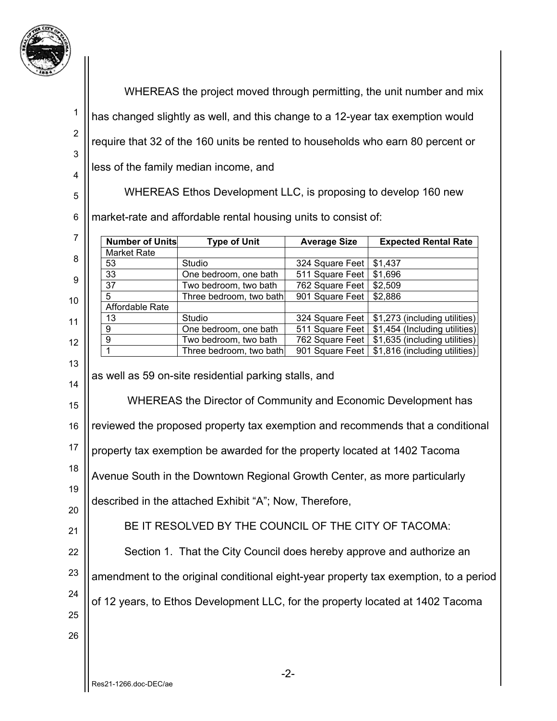

| ''             |                                                                                      |                                                |                                    |                                                                                  |  |  |
|----------------|--------------------------------------------------------------------------------------|------------------------------------------------|------------------------------------|----------------------------------------------------------------------------------|--|--|
|                | WHEREAS the project moved through permitting, the unit number and mix                |                                                |                                    |                                                                                  |  |  |
| 1              | has changed slightly as well, and this change to a 12-year tax exemption would       |                                                |                                    |                                                                                  |  |  |
| $\overline{2}$ | require that 32 of the 160 units be rented to households who earn 80 percent or      |                                                |                                    |                                                                                  |  |  |
| 3              |                                                                                      |                                                |                                    |                                                                                  |  |  |
| 4              | less of the family median income, and                                                |                                                |                                    |                                                                                  |  |  |
| 5              | WHEREAS Ethos Development LLC, is proposing to develop 160 new                       |                                                |                                    |                                                                                  |  |  |
| 6              | market-rate and affordable rental housing units to consist of:                       |                                                |                                    |                                                                                  |  |  |
| $\overline{7}$ | <b>Number of Units</b>                                                               | <b>Type of Unit</b>                            | <b>Average Size</b>                | <b>Expected Rental Rate</b>                                                      |  |  |
| 8              | <b>Market Rate</b><br>53                                                             | Studio                                         | 324 Square Feet                    | \$1,437                                                                          |  |  |
| 9              | 33<br>37                                                                             | One bedroom, one bath<br>Two bedroom, two bath | 511 Square Feet<br>762 Square Feet | \$1,696<br>\$2,509                                                               |  |  |
| 10             | 5                                                                                    | Three bedroom, two bath                        | 901 Square Feet                    | \$2,886                                                                          |  |  |
|                | Affordable Rate                                                                      |                                                |                                    |                                                                                  |  |  |
| 11             | 13<br>9                                                                              | Studio<br>One bedroom, one bath                | 511 Square Feet                    | 324 Square Feet   \$1,273 (including utilities)<br>\$1,454 (Including utilities) |  |  |
| 12             | $\boldsymbol{9}$                                                                     | Two bedroom, two bath                          | 762 Square Feet                    | \$1,635 (including utilities)                                                    |  |  |
|                | $\mathbf{1}$                                                                         | Three bedroom, two bath                        | 901 Square Feet                    | \$1,816 (including utilities)                                                    |  |  |
| 13<br>14       | as well as 59 on-site residential parking stalls, and                                |                                                |                                    |                                                                                  |  |  |
| 15             | WHEREAS the Director of Community and Economic Development has                       |                                                |                                    |                                                                                  |  |  |
| 16             | reviewed the proposed property tax exemption and recommends that a conditional       |                                                |                                    |                                                                                  |  |  |
| 17             | property tax exemption be awarded for the property located at 1402 Tacoma            |                                                |                                    |                                                                                  |  |  |
| 18             | Avenue South in the Downtown Regional Growth Center, as more particularly            |                                                |                                    |                                                                                  |  |  |
| 19             | described in the attached Exhibit "A"; Now, Therefore,                               |                                                |                                    |                                                                                  |  |  |
| 20<br>21       | BE IT RESOLVED BY THE COUNCIL OF THE CITY OF TACOMA:                                 |                                                |                                    |                                                                                  |  |  |
| 22             | Section 1. That the City Council does hereby approve and authorize an                |                                                |                                    |                                                                                  |  |  |
| 23             |                                                                                      |                                                |                                    |                                                                                  |  |  |
| 24             | amendment to the original conditional eight-year property tax exemption, to a period |                                                |                                    |                                                                                  |  |  |
| 25             | of 12 years, to Ethos Development LLC, for the property located at 1402 Tacoma       |                                                |                                    |                                                                                  |  |  |
| 26             |                                                                                      |                                                |                                    |                                                                                  |  |  |
|                |                                                                                      |                                                |                                    |                                                                                  |  |  |
|                |                                                                                      |                                                | $-2-$                              |                                                                                  |  |  |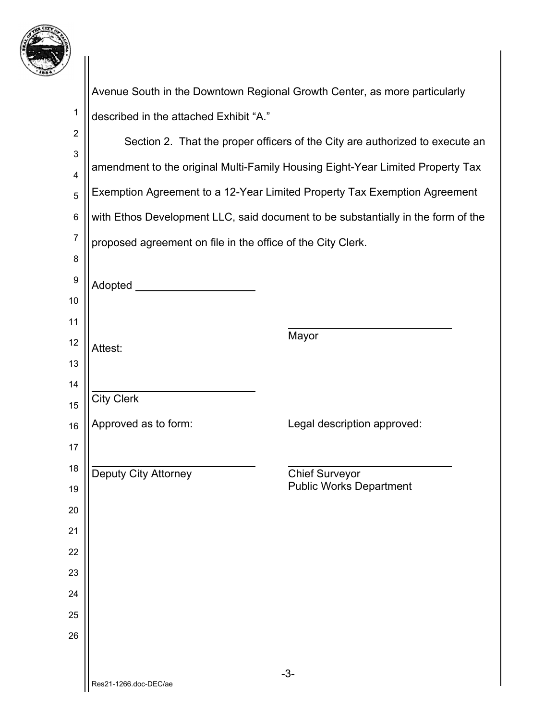

1

Avenue South in the Downtown Regional Growth Center, as more particularly described in the attached Exhibit "A."

| $\overline{2}$ | Section 2. That the proper officers of the City are authorized to execute an     |                                |  |  |  |
|----------------|----------------------------------------------------------------------------------|--------------------------------|--|--|--|
| 3              |                                                                                  |                                |  |  |  |
| 4              | amendment to the original Multi-Family Housing Eight-Year Limited Property Tax   |                                |  |  |  |
| 5              | Exemption Agreement to a 12-Year Limited Property Tax Exemption Agreement        |                                |  |  |  |
| 6              | with Ethos Development LLC, said document to be substantially in the form of the |                                |  |  |  |
| 7              | proposed agreement on file in the office of the City Clerk.                      |                                |  |  |  |
| 8              |                                                                                  |                                |  |  |  |
| 9              | Adopted ______                                                                   |                                |  |  |  |
| 10             |                                                                                  |                                |  |  |  |
| 11             |                                                                                  |                                |  |  |  |
| 12             | Attest:                                                                          | Mayor                          |  |  |  |
| 13             |                                                                                  |                                |  |  |  |
| 14             |                                                                                  |                                |  |  |  |
| 15             | <b>City Clerk</b>                                                                |                                |  |  |  |
| 16             | Approved as to form:                                                             | Legal description approved:    |  |  |  |
| 17             |                                                                                  |                                |  |  |  |
| 18             | Deputy City Attorney                                                             | <b>Chief Surveyor</b>          |  |  |  |
| 19             |                                                                                  | <b>Public Works Department</b> |  |  |  |
| 20             |                                                                                  |                                |  |  |  |
| 21             |                                                                                  |                                |  |  |  |
| 22             |                                                                                  |                                |  |  |  |
| 23             |                                                                                  |                                |  |  |  |
| 24             |                                                                                  |                                |  |  |  |
| 25             |                                                                                  |                                |  |  |  |
| 26             |                                                                                  |                                |  |  |  |
|                |                                                                                  |                                |  |  |  |
|                | Res21-1266.doc-DEC/ae                                                            | $-3-$                          |  |  |  |
|                |                                                                                  |                                |  |  |  |